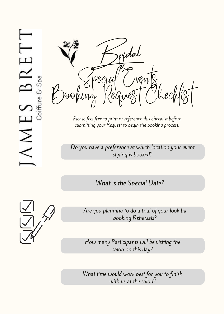

Please feel free to print or reference this checklist before submitting your Request to begin the booking process.

Do you have a preference at which location your event styling is booked?

What is the Special Date?



Are you planning to do a trial of your look by booking Rehersals?

How many Participants will be visiting the salon on this day?

What time would work best for you to finish with us at the salon?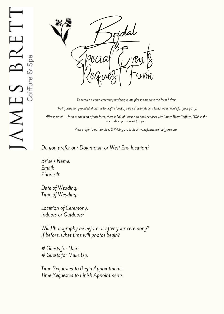

To receive a complementary wedding quote please complete the form below.

The information provided allows us to draft a 'cost of service' estimate and tentative schedule for your party.

\*Please note\* - Upon submission of this form, there is NO obligation to book services with James Brett Coiffure, NOR is the event date yet secured for you.

Please refer to our Services & Pricing available at www.jamesbrettcoiffure.com

Do you prefer our Downtown or West End location?

Bride's Name: Email: Phone #

Date of Wedding: Time of Wedding:

Location of Ceremony: Indoors or Outdoors:

Will Photography be before or after your ceremony? If before, what time will photos begin?

# Guests for Hair: # Guests for Make Up:

Time Requested to Begin Appointments: Time Requested to Finish Appointments: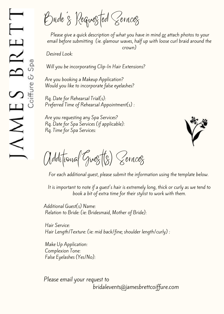Bride's Requested Services

Please give a quick description of what you have in mind or attach photos to your email before submitting (ie. glamour waves, half up with loose curl braid around the crown)

Desired Look:

Will you be incorporating Clip-In Hair Extensions?

Are you booking a Makeup Application? Would you like to incorporate false eyelashes?

Rq. Date for Rehearsal Trial(s): Preferred Time of Rehearsal Appointment(s) :

Are you requesting any Spa Services? Rq. Date for Spa Services (if applicable): Rq. Time for Spa Services:



Additional Guest(s) Services

For each additional guest, please submit the information using the template below.

It is important to note if a guest's hair is extremely long, thick or curly as we tend to book a bit of extra time for their stylist to work with them.

Additional Guest(s) Name: Relation to Bride: (ie: Bridesmaid, Mother of Bride):

Hair Service: Hair Length/Texture: (ie: mid back/fine; shoulder length/curly) :

Make Up Application: Complexion Tone: False Eyelashes (Yes/No):

Please email your request to bridalevents@jamesbrettcoiffure.com